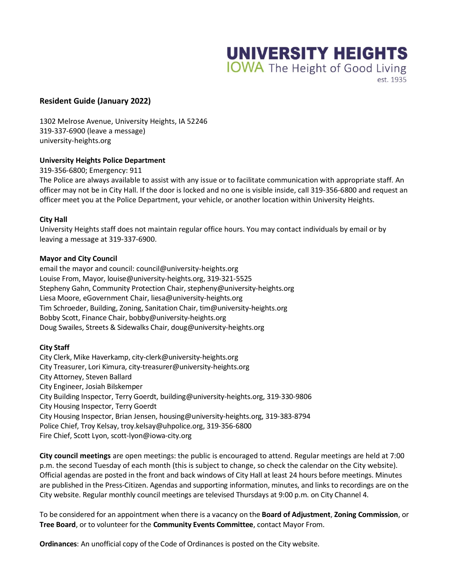

## est. 1935

# **Resident Guide (January 2022)**

1302 Melrose Avenue, University Heights, IA 52246 319-337-6900 (leave a message) university-heights.org

### **University Heights Police Department**

319-356-6800; Emergency: 911

The Police are always available to assist with any issue or to facilitate communication with appropriate staff. An officer may not be in City Hall. If the door is locked and no one is visible inside, call 319-356-6800 and request an officer meet you at the Police Department, your vehicle, or another location within University Heights.

### **City Hall**

University Heights staff does not maintain regular office hours. You may contact individuals by email or by leaving a message at 319-337-6900.

### **Mayor and City Council**

email the mayor and council: council@university-heights.org Louise From, Mayor, louise@university-heights.org, 319-321-5525 Stepheny Gahn, Community Protection Chair, stepheny@university-heights.org Liesa Moore, eGovernment Chair, liesa@university-heights.org Tim Schroeder, Building, Zoning, Sanitation Chair, tim@university-heights.org Bobby Scott, Finance Chair, bobby@university-heights.org Doug Swailes, Streets & Sidewalks Chair, doug@university-heights.org

### **City Staff**

City Clerk, Mike Haverkamp, city-clerk@university-heights.org City Treasurer, Lori Kimura, city-treasurer@university-heights.org City Attorney, Steven Ballard City Engineer, Josiah Bilskemper City Building Inspector, Terry Goerdt, building@university-heights.org, 319-330-9806 City Housing Inspector, Terry Goerdt City Housing Inspector, Brian Jensen, housing@university-heights.org, 319-383-8794 Police Chief, Troy Kelsay, troy.kelsay@uhpolice.org, 319-356-6800 Fire Chief, Scott Lyon, scott-lyon@iowa-city.org

**City council meetings** are open meetings: the public is encouraged to attend. Regular meetings are held at 7:00 p.m. the second Tuesday of each month (this is subject to change, so check the calendar on the City website). Official agendas are posted in the front and back windows of City Hall at least 24 hours before meetings. Minutes are published in the Press-Citizen. Agendas and supporting information, minutes, and links to recordings are on the City website. Regular monthly council meetings are televised Thursdays at 9:00 p.m. on City Channel 4.

To be considered for an appointment when there is a vacancy on the **Board of Adjustment**, **Zoning Commission**, or **Tree Board**, or to volunteer for the **Community Events Committee**, contact Mayor From.

**Ordinances**: An unofficial copy of the Code of Ordinances is posted on the City website.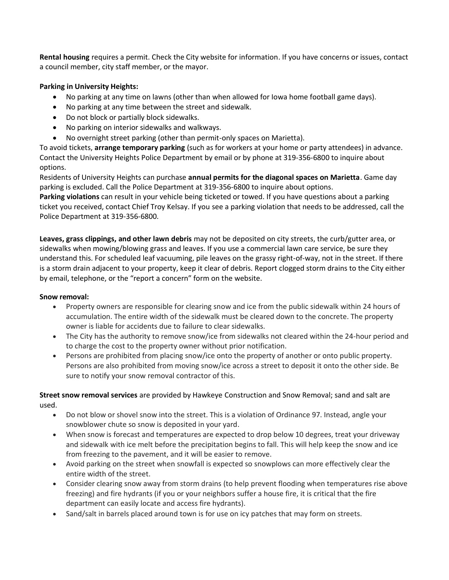**Rental housing** requires a permit. Check the City website for information. If you have concerns or issues, contact a council member, city staff member, or the mayor.

# **Parking in University Heights:**

- No parking at any time on lawns (other than when allowed for Iowa home football game days).
- No parking at any time between the street and sidewalk.
- Do not block or partially block sidewalks.
- No parking on interior sidewalks and walkways.
- No overnight street parking (other than permit-only spaces on Marietta).

To avoid tickets, **arrange temporary parking** (such as for workers at your home or party attendees) in advance. Contact the University Heights Police Department by email or by phone at 319-356-6800 to inquire about options.

Residents of University Heights can purchase **annual permits for the diagonal spaces on Marietta**. Game day parking is excluded. Call the Police Department at 319-356-6800 to inquire about options.

**Parking violations** can result in your vehicle being ticketed or towed. If you have questions about a parking ticket you received, contact Chief Troy Kelsay. If you see a parking violation that needs to be addressed, call the Police Department at 319-356-6800.

**Leaves, grass clippings, and other lawn debris** may not be deposited on city streets, the curb/gutter area, or sidewalks when mowing/blowing grass and leaves. If you use a commercial lawn care service, be sure they understand this. For scheduled leaf vacuuming, pile leaves on the grassy right-of-way, not in the street. If there is a storm drain adjacent to your property, keep it clear of debris. Report clogged storm drains to the City either by email, telephone, or the "report a concern" form on the website.

### **Snow removal:**

- Property owners are responsible for clearing snow and ice from the public sidewalk within 24 hours of accumulation. The entire width of the sidewalk must be cleared down to the concrete. The property owner is liable for accidents due to failure to clear sidewalks.
- The City has the authority to remove snow/ice from sidewalks not cleared within the 24-hour period and to charge the cost to the property owner without prior notification.
- Persons are prohibited from placing snow/ice onto the property of another or onto public property. Persons are also prohibited from moving snow/ice across a street to deposit it onto the other side. Be sure to notify your snow removal contractor of this.

**Street snow removal services** are provided by Hawkeye Construction and Snow Removal; sand and salt are used.

- Do not blow or shovel snow into the street. This is a violation of Ordinance 97. Instead, angle your snowblower chute so snow is deposited in your yard.
- When snow is forecast and temperatures are expected to drop below 10 degrees, treat your driveway and sidewalk with ice melt before the precipitation begins to fall. This will help keep the snow and ice from freezing to the pavement, and it will be easier to remove.
- Avoid parking on the street when snowfall is expected so snowplows can more effectively clear the entire width of the street.
- Consider clearing snow away from storm drains (to help prevent flooding when temperatures rise above freezing) and fire hydrants (if you or your neighbors suffer a house fire, it is critical that the fire department can easily locate and access fire hydrants).
- Sand/salt in barrels placed around town is for use on icy patches that may form on streets.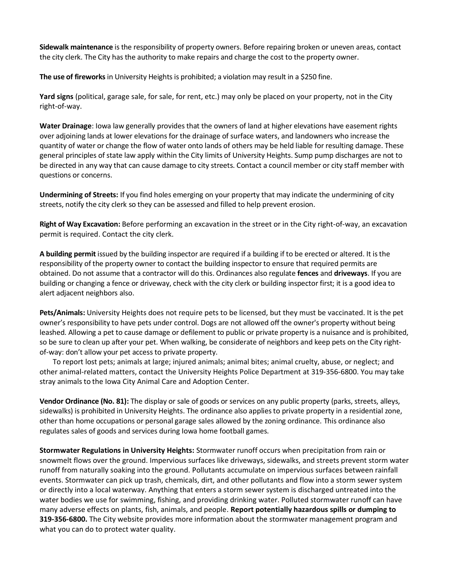**Sidewalk maintenance** is the responsibility of property owners. Before repairing broken or uneven areas, contact the city clerk. The City has the authority to make repairs and charge the cost to the property owner.

**The use of fireworks**in University Heights is prohibited; a violation may result in a \$250 fine.

**Yard signs** (political, garage sale, for sale, for rent, etc.) may only be placed on your property, not in the City right-of-way.

**Water Drainage**: Iowa law generally provides that the owners of land at higher elevations have easement rights over adjoining lands at lower elevations for the drainage of surface waters, and landowners who increase the quantity of water or change the flow of water onto lands of others may be held liable for resulting damage. These general principles of state law apply within the City limits of University Heights. Sump pump discharges are not to be directed in any way that can cause damage to city streets. Contact a council member or city staff member with questions or concerns.

**Undermining of Streets:** If you find holes emerging on your property that may indicate the undermining of city streets, notify the city clerk so they can be assessed and filled to help prevent erosion.

**Right of Way Excavation:** Before performing an excavation in the street or in the City right-of-way, an excavation permit is required. Contact the city clerk.

**A building permit** issued by the building inspector are required if a building if to be erected or altered. It is the responsibility of the property owner to contact the building inspector to ensure that required permits are obtained. Do not assume that a contractor will do this. Ordinances also regulate **fences** and **driveways**. If you are building or changing a fence or driveway, check with the city clerk or building inspector first; it is a good idea to alert adjacent neighbors also.

**Pets/Animals:** University Heights does not require pets to be licensed, but they must be vaccinated. It is the pet owner's responsibility to have pets under control. Dogs are not allowed off the owner's property without being leashed. Allowing a pet to cause damage or defilement to public or private property is a nuisance and is prohibited, so be sure to clean up after your pet. When walking, be considerate of neighbors and keep pets on the City rightof-way: don't allow your pet access to private property.

To report lost pets; animals at large; injured animals; animal bites; animal cruelty, abuse, or neglect; and other animal-related matters, contact the University Heights Police Department at 319-356-6800. You may take stray animals to the Iowa City Animal Care and Adoption Center.

**Vendor Ordinance (No. 81):** The display or sale of goods or services on any public property (parks, streets, alleys, sidewalks) is prohibited in University Heights. The ordinance also applies to private property in a residential zone, other than home occupations or personal garage sales allowed by the zoning ordinance. This ordinance also regulates sales of goods and services during Iowa home football games.

**Stormwater Regulations in University Heights:** Stormwater runoff occurs when precipitation from rain or snowmelt flows over the ground. Impervious surfaces like driveways, sidewalks, and streets prevent storm water runoff from naturally soaking into the ground. Pollutants accumulate on impervious surfaces between rainfall events. Stormwater can pick up trash, chemicals, dirt, and other pollutants and flow into a storm sewer system or directly into a local waterway. Anything that enters a storm sewer system is discharged untreated into the water bodies we use for swimming, fishing, and providing drinking water. Polluted stormwater runoff can have many adverse effects on plants, fish, animals, and people. **Report potentially hazardous spills or dumping to 319-356-6800.** The City website provides more information about the stormwater management program and what you can do to protect water quality.